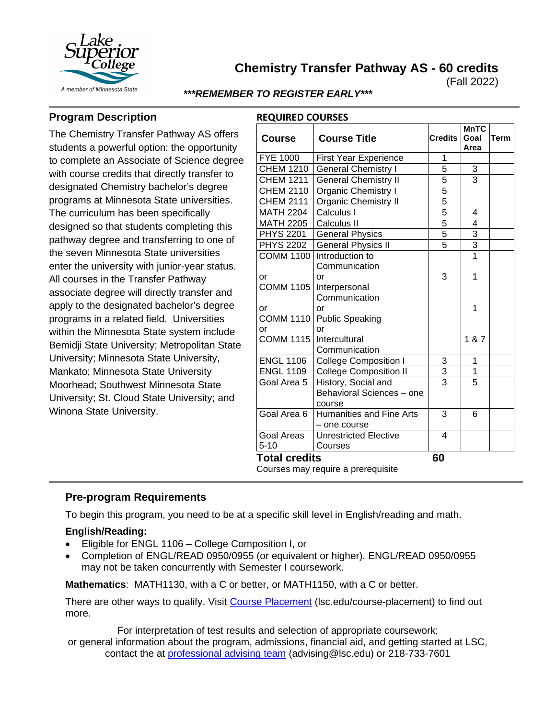

**Chemistry Transfer Pathway AS - 60 credits**

(Fall 2022)

#### *\*\*\*REMEMBER TO REGISTER EARLY\*\*\**

**REQUIRED COURSES**

## **Program Description**

The Chemistry Transfer Pathway AS offers students a powerful option: the opportunity to complete an Associate of Science degree with course credits that directly transfer to designated Chemistry bachelor's degree programs at Minnesota State universities. The curriculum has been specifically designed so that students completing this pathway degree and transferring to one of the seven Minnesota State universities enter the university with junior-year status. All courses in the Transfer Pathway associate degree will directly transfer and apply to the designated bachelor's degree programs in a related field. Universities within the Minnesota State system include Bemidji State University; Metropolitan State University; Minnesota State University, Mankato; Minnesota State University Moorhead; Southwest Minnesota State University; St. Cloud State University; and Winona State University.

| <b>Course</b>                      | <b>Course Title</b>                                        | <b>Credits</b> | <b>MnTC</b><br>Goal<br>Area | Term |
|------------------------------------|------------------------------------------------------------|----------------|-----------------------------|------|
| <b>FYE 1000</b>                    | First Year Experience                                      | 1              |                             |      |
| <b>CHEM 1210</b>                   | <b>General Chemistry I</b>                                 | 5              | $\frac{3}{3}$               |      |
| <b>CHEM 1211</b>                   | <b>General Chemistry II</b>                                | 5              |                             |      |
| <b>CHEM 2110</b>                   | Organic Chemistry I                                        | $\overline{5}$ |                             |      |
| <b>CHEM 2111</b>                   | <b>Organic Chemistry II</b>                                | $\frac{5}{5}$  |                             |      |
| <b>MATH 2204</b>                   | Calculus I                                                 |                | 4                           |      |
| <b>MATH 2205</b>                   | Calculus II                                                |                | $\overline{\mathcal{L}}$    |      |
| <b>PHYS 2201</b>                   | <b>General Physics</b>                                     | $\overline{5}$ |                             |      |
| <b>PHYS 2202</b>                   | <b>General Physics II</b>                                  | $\overline{5}$ | $\frac{3}{1}$               |      |
|                                    | COMM 1100 Introduction to<br>Communication                 |                |                             |      |
| or<br><b>COMM 1105</b>             | or<br>Interpersonal                                        | 3              | 1                           |      |
| or<br><b>COMM 1110</b>             | Communication<br>or<br><b>Public Speaking</b>              |                | 1                           |      |
| or<br><b>COMM 1115</b>             | or<br>Intercultural<br>Communication                       |                | 1 & 7                       |      |
| <b>ENGL 1106</b>                   | <b>College Composition I</b>                               | 3              | 1                           |      |
| <b>ENGL 1109</b>                   | College Composition II                                     | $\overline{3}$ | $\overline{1}$              |      |
| Goal Area 5                        | History, Social and<br>Behavioral Sciences - one<br>course | $\overline{3}$ | $\overline{5}$              |      |
| Goal Area 6                        | Humanities and Fine Arts<br>- one course                   | 3              | 6                           |      |
| Goal Areas                         | Unrestricted Elective                                      | 4              |                             |      |
| $5 - 10$                           | Courses                                                    |                |                             |      |
| <b>Total credits</b>               | 60                                                         |                |                             |      |
| Courses may require a prerequisite |                                                            |                |                             |      |

# **Pre-program Requirements**

To begin this program, you need to be at a specific skill level in English/reading and math.

#### **English/Reading:**

- Eligible for ENGL 1106 College Composition I, or
- Completion of ENGL/READ 0950/0955 (or equivalent or higher). ENGL/READ 0950/0955 may not be taken concurrently with Semester I coursework.

**Mathematics**: MATH1130, with a C or better, or MATH1150, with a C or better.

There are other ways to qualify. Visit Course Placement (lsc.edu/course-placement) to find out more.

For interpretation of test results and selection of appropriate coursework;

or general information about the program, admissions, financial aid, and getting started at LSC, contact the at [professional advising team](mailto:advising@lsc.edu) (advising@lsc.edu) or 218-733-7601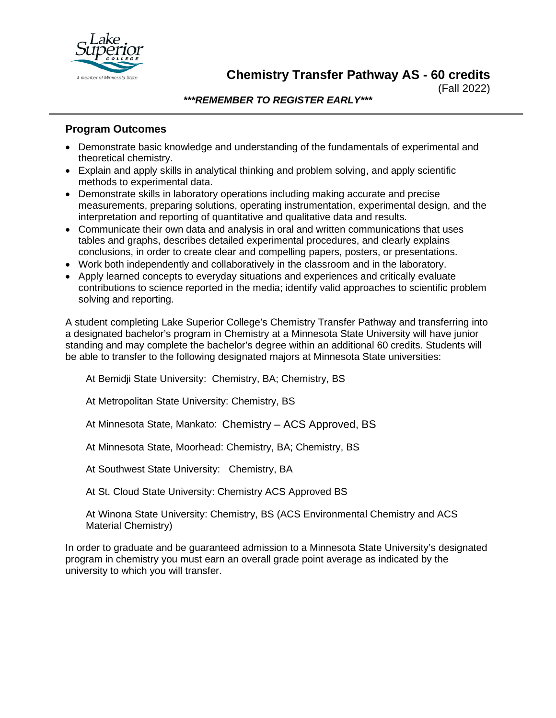

**Chemistry Transfer Pathway AS - 60 credits**

(Fall 2022)

*\*\*\*REMEMBER TO REGISTER EARLY\*\*\**

### **Program Outcomes**

- Demonstrate basic knowledge and understanding of the fundamentals of experimental and theoretical chemistry.
- Explain and apply skills in analytical thinking and problem solving, and apply scientific methods to experimental data.
- Demonstrate skills in laboratory operations including making accurate and precise measurements, preparing solutions, operating instrumentation, experimental design, and the interpretation and reporting of quantitative and qualitative data and results.
- Communicate their own data and analysis in oral and written communications that uses tables and graphs, describes detailed experimental procedures, and clearly explains conclusions, in order to create clear and compelling papers, posters, or presentations.
- Work both independently and collaboratively in the classroom and in the laboratory.
- Apply learned concepts to everyday situations and experiences and critically evaluate contributions to science reported in the media; identify valid approaches to scientific problem solving and reporting.

A student completing Lake Superior College's Chemistry Transfer Pathway and transferring into a designated bachelor's program in Chemistry at a Minnesota State University will have junior standing and may complete the bachelor's degree within an additional 60 credits. Students will be able to transfer to the following designated majors at Minnesota State universities:

At Bemidji State University: Chemistry, BA; Chemistry, BS

At Metropolitan State University: Chemistry, BS

At Minnesota State, Mankato: Chemistry – ACS Approved, BS

At Minnesota State, Moorhead: Chemistry, BA; Chemistry, BS

At Southwest State University: Chemistry, BA

At St. Cloud State University: Chemistry ACS Approved BS

At Winona State University: Chemistry, BS (ACS Environmental Chemistry and ACS Material Chemistry)

In order to graduate and be guaranteed admission to a Minnesota State University's designated program in chemistry you must earn an overall grade point average as indicated by the university to which you will transfer.